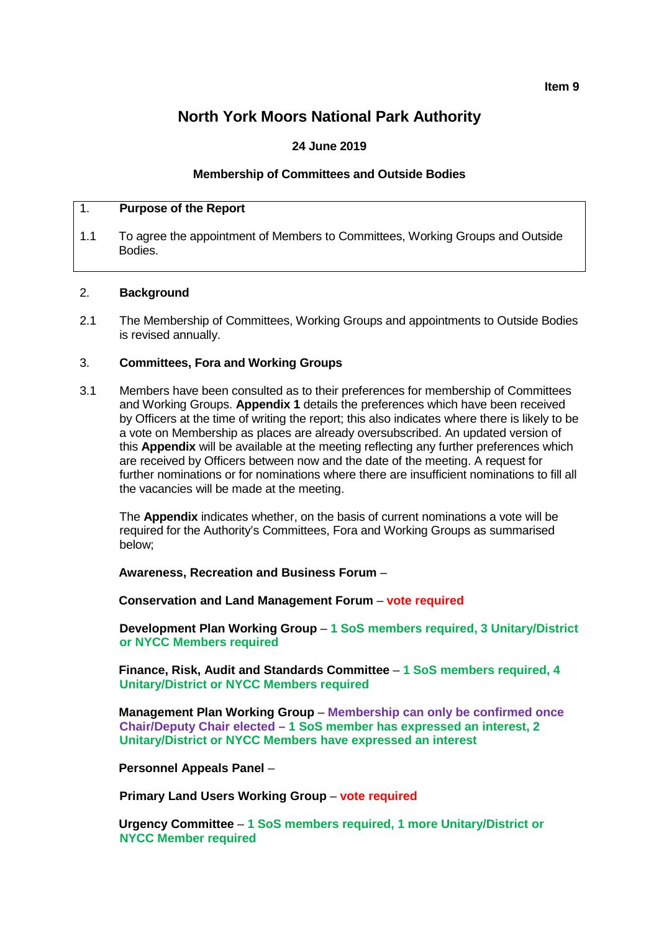**North York Moors National Park Authority**

### **24 June 2019**

#### **Membership of Committees and Outside Bodies**

#### 1. **Purpose of the Report**

1.1 To agree the appointment of Members to Committees, Working Groups and Outside Bodies.

#### 2. **Background**

2.1 The Membership of Committees, Working Groups and appointments to Outside Bodies is revised annually.

#### 3. **Committees, Fora and Working Groups**

3.1 Members have been consulted as to their preferences for membership of Committees and Working Groups. **Appendix 1** details the preferences which have been received by Officers at the time of writing the report; this also indicates where there is likely to be a vote on Membership as places are already oversubscribed. An updated version of this **Appendix** will be available at the meeting reflecting any further preferences which are received by Officers between now and the date of the meeting. A request for further nominations or for nominations where there are insufficient nominations to fill all the vacancies will be made at the meeting.

The **Appendix** indicates whether, on the basis of current nominations a vote will be required for the Authority's Committees, Fora and Working Groups as summarised below;

**Awareness, Recreation and Business Forum** –

**Conservation and Land Management Forum** – **vote required**

**Development Plan Working Group** – **1 SoS members required, 3 Unitary/District or NYCC Members required**

**Finance, Risk, Audit and Standards Committee** – **1 SoS members required, 4 Unitary/District or NYCC Members required**

**Management Plan Working Group** – **Membership can only be confirmed once Chair/Deputy Chair elected – 1 SoS member has expressed an interest, 2 Unitary/District or NYCC Members have expressed an interest**

**Personnel Appeals Panel** –

**Primary Land Users Working Group** – **vote required**

**Urgency Committee** – **1 SoS members required, 1 more Unitary/District or NYCC Member required**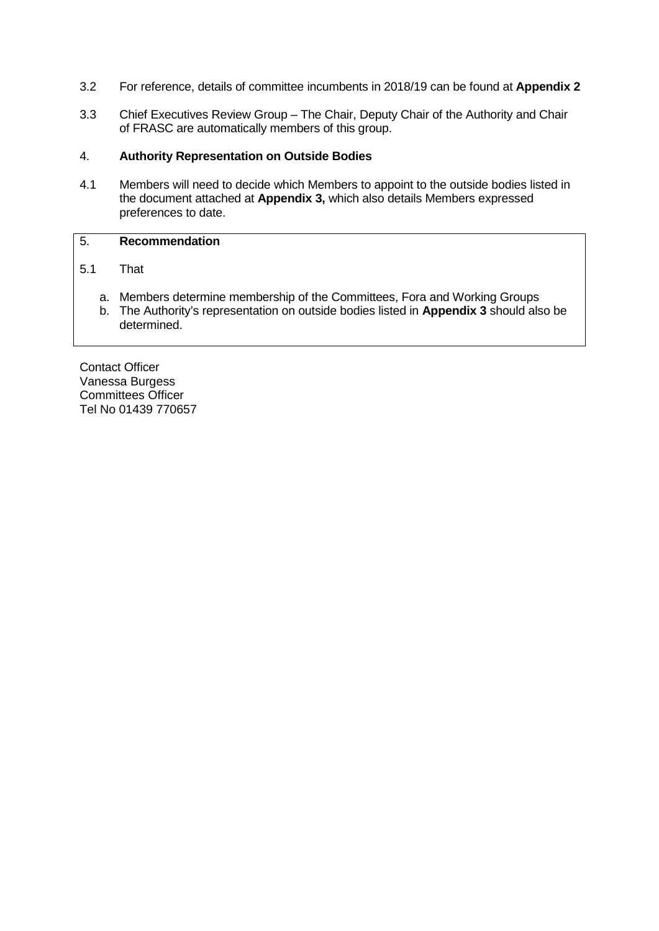- 3.2 For reference, details of committee incumbents in 2018/19 can be found at **Appendix 2**
- 3.3 Chief Executives Review Group The Chair, Deputy Chair of the Authority and Chair of FRASC are automatically members of this group.

#### 4. **Authority Representation on Outside Bodies**

4.1 Members will need to decide which Members to appoint to the outside bodies listed in the document attached at **Appendix 3,** which also details Members expressed preferences to date.

#### 5. **Recommendation**

- 5.1 That
	- a. Members determine membership of the Committees, Fora and Working Groups
	- b. The Authority's representation on outside bodies listed in **Appendix 3** should also be determined.

Contact Officer Vanessa Burgess Committees Officer Tel No 01439 770657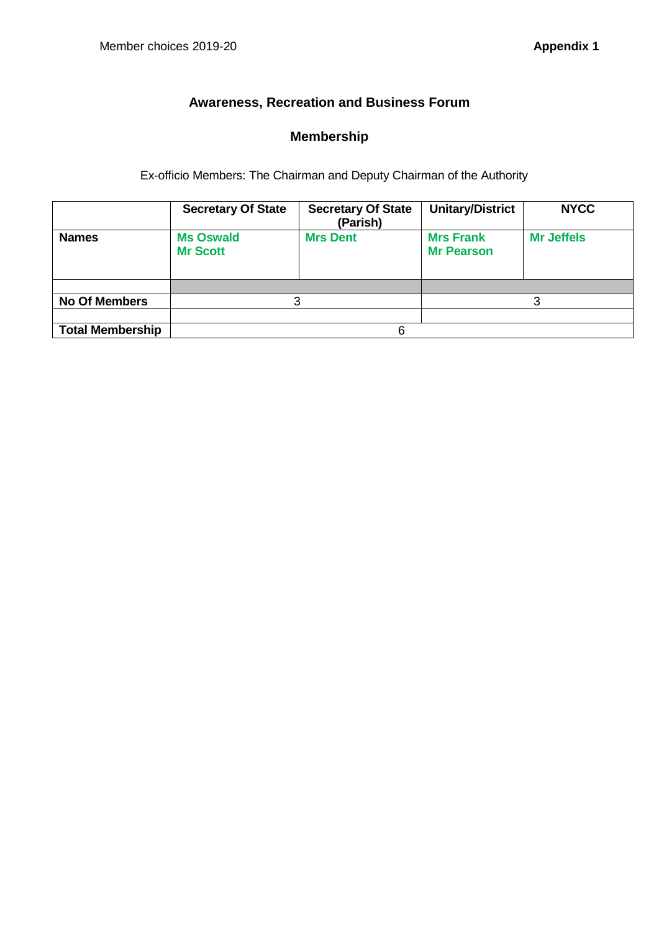### **Awareness, Recreation and Business Forum**

## **Membership**

|                         | <b>Secretary Of State</b>           | <b>Secretary Of State</b><br>(Parish) | <b>Unitary/District</b>               | <b>NYCC</b>       |
|-------------------------|-------------------------------------|---------------------------------------|---------------------------------------|-------------------|
| <b>Names</b>            | <b>Ms Oswald</b><br><b>Mr Scott</b> | <b>Mrs Dent</b>                       | <b>Mrs Frank</b><br><b>Mr Pearson</b> | <b>Mr Jeffels</b> |
|                         |                                     |                                       |                                       |                   |
| <b>No Of Members</b>    | っ                                   |                                       |                                       |                   |
|                         |                                     |                                       |                                       |                   |
| <b>Total Membership</b> |                                     | 6                                     |                                       |                   |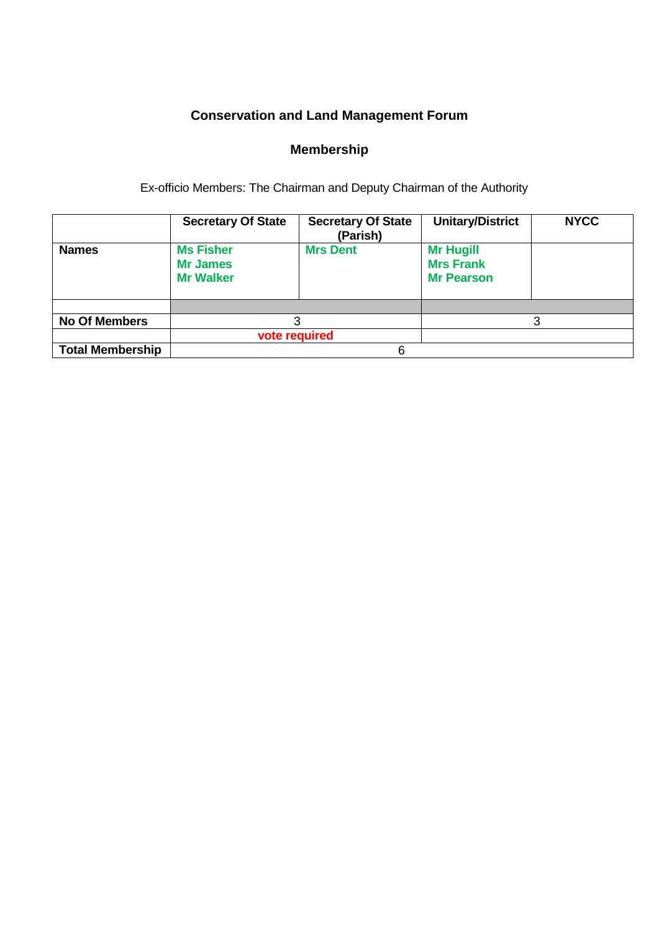### **Conservation and Land Management Forum**

## **Membership**

|                         | <b>Secretary Of State</b>                               | <b>Secretary Of State</b><br>(Parish) | <b>Unitary/District</b>                                   | <b>NYCC</b> |
|-------------------------|---------------------------------------------------------|---------------------------------------|-----------------------------------------------------------|-------------|
| <b>Names</b>            | <b>Ms Fisher</b><br><b>Mr James</b><br><b>Mr Walker</b> | <b>Mrs Dent</b>                       | <b>Mr Hugill</b><br><b>Mrs Frank</b><br><b>Mr Pearson</b> |             |
|                         |                                                         |                                       |                                                           |             |
| <b>No Of Members</b>    |                                                         |                                       |                                                           |             |
|                         | vote required                                           |                                       |                                                           |             |
| <b>Total Membership</b> |                                                         | 6                                     |                                                           |             |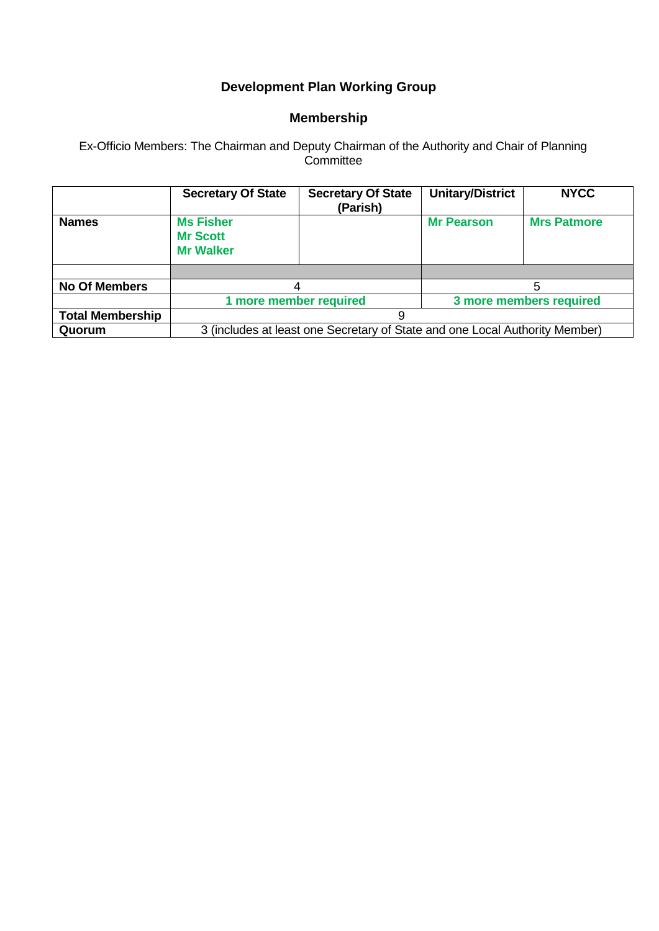# **Development Plan Working Group**

## **Membership**

Ex-Officio Members: The Chairman and Deputy Chairman of the Authority and Chair of Planning **Committee** 

|                         | <b>Secretary Of State</b>                               | <b>Secretary Of State</b><br>(Parish)                                       | <b>Unitary/District</b> | <b>NYCC</b>        |  |
|-------------------------|---------------------------------------------------------|-----------------------------------------------------------------------------|-------------------------|--------------------|--|
| <b>Names</b>            | <b>Ms Fisher</b><br><b>Mr Scott</b><br><b>Mr Walker</b> |                                                                             | <b>Mr Pearson</b>       | <b>Mrs Patmore</b> |  |
|                         |                                                         |                                                                             |                         |                    |  |
| <b>No Of Members</b>    | 5                                                       |                                                                             |                         |                    |  |
|                         | 3 more members required<br>1 more member required       |                                                                             |                         |                    |  |
| <b>Total Membership</b> |                                                         |                                                                             |                         |                    |  |
| Quorum                  |                                                         | 3 (includes at least one Secretary of State and one Local Authority Member) |                         |                    |  |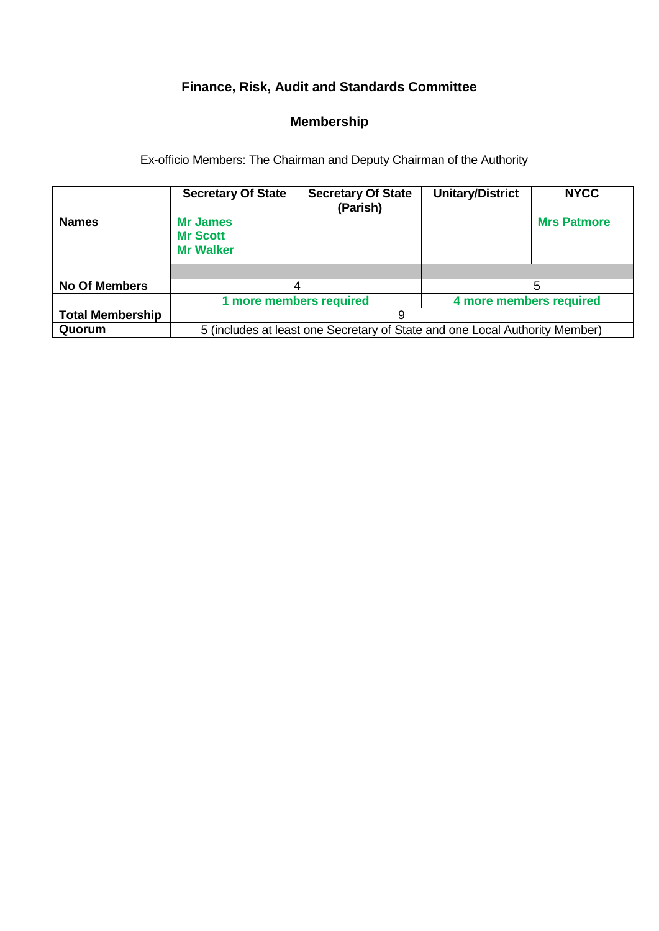# **Finance, Risk, Audit and Standards Committee**

# **Membership**

|                         | <b>Secretary Of State</b>                              | <b>Secretary Of State</b><br>(Parish)                                       | <b>Unitary/District</b> | <b>NYCC</b>        |  |
|-------------------------|--------------------------------------------------------|-----------------------------------------------------------------------------|-------------------------|--------------------|--|
| <b>Names</b>            | <b>Mr James</b><br><b>Mr Scott</b><br><b>Mr Walker</b> |                                                                             |                         | <b>Mrs Patmore</b> |  |
|                         |                                                        |                                                                             |                         |                    |  |
| <b>No Of Members</b>    |                                                        |                                                                             |                         |                    |  |
|                         | 4 more members required<br>1 more members required     |                                                                             |                         |                    |  |
| <b>Total Membership</b> |                                                        |                                                                             |                         |                    |  |
| Quorum                  |                                                        | 5 (includes at least one Secretary of State and one Local Authority Member) |                         |                    |  |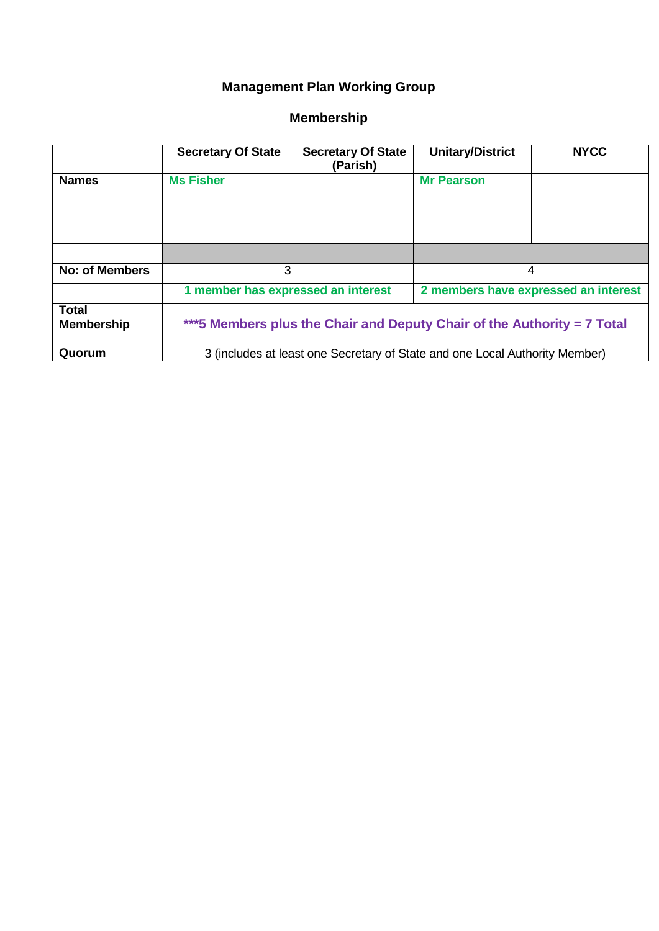# **Management Plan Working Group**

|                                   | <b>Secretary Of State</b>                                               | <b>Secretary Of State</b><br>(Parish) | <b>Unitary/District</b>                                                     | <b>NYCC</b> |  |
|-----------------------------------|-------------------------------------------------------------------------|---------------------------------------|-----------------------------------------------------------------------------|-------------|--|
| <b>Names</b>                      | <b>Ms Fisher</b>                                                        |                                       | <b>Mr Pearson</b>                                                           |             |  |
|                                   |                                                                         |                                       |                                                                             |             |  |
| No: of Members                    | 3                                                                       |                                       | 4                                                                           |             |  |
|                                   | 1 member has expressed an interest                                      |                                       | 2 members have expressed an interest                                        |             |  |
| <b>Total</b><br><b>Membership</b> | ***5 Members plus the Chair and Deputy Chair of the Authority = 7 Total |                                       |                                                                             |             |  |
| Quorum                            |                                                                         |                                       | 3 (includes at least one Secretary of State and one Local Authority Member) |             |  |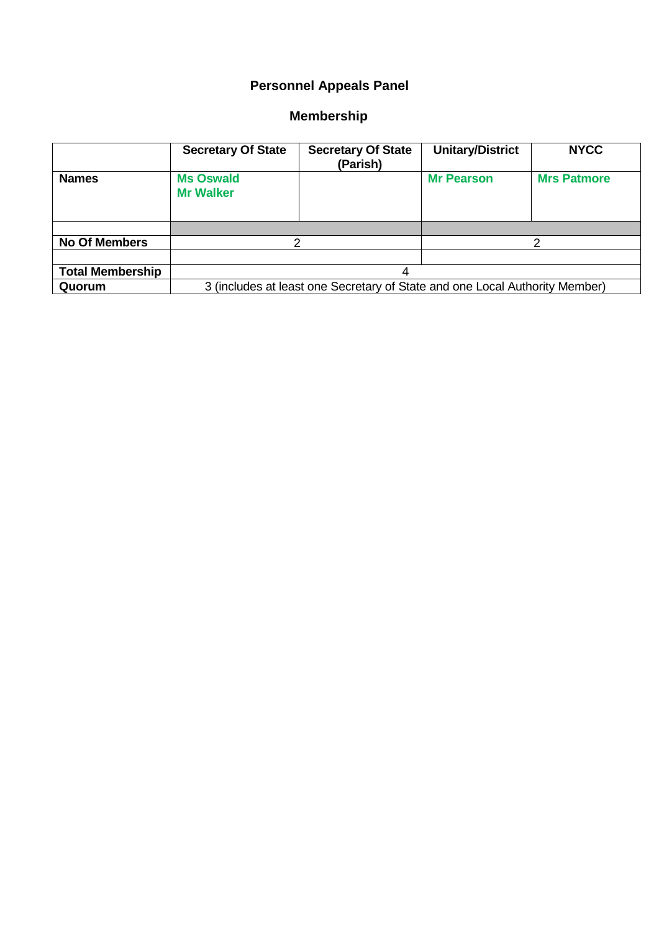# **Personnel Appeals Panel**

|                         | <b>Secretary Of State</b>            | <b>Secretary Of State</b><br>(Parish)                                       | <b>Unitary/District</b> | <b>NYCC</b>        |  |
|-------------------------|--------------------------------------|-----------------------------------------------------------------------------|-------------------------|--------------------|--|
| <b>Names</b>            | <b>Ms Oswald</b><br><b>Mr Walker</b> |                                                                             | <b>Mr Pearson</b>       | <b>Mrs Patmore</b> |  |
|                         |                                      |                                                                             |                         |                    |  |
| <b>No Of Members</b>    |                                      |                                                                             |                         |                    |  |
|                         |                                      |                                                                             |                         |                    |  |
| <b>Total Membership</b> | 4                                    |                                                                             |                         |                    |  |
| Quorum                  |                                      | 3 (includes at least one Secretary of State and one Local Authority Member) |                         |                    |  |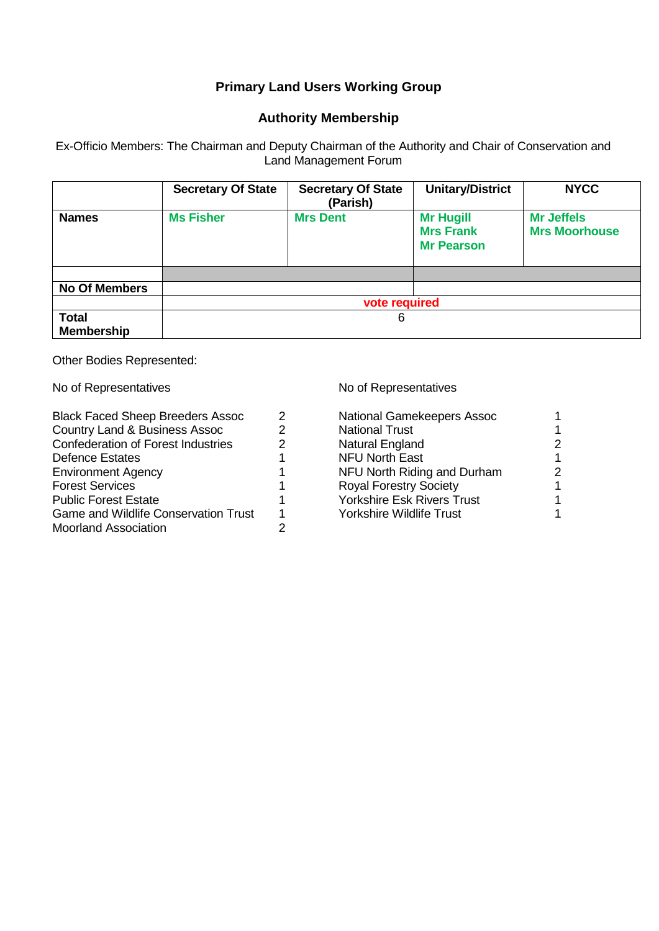## **Primary Land Users Working Group**

### **Authority Membership**

Ex-Officio Members: The Chairman and Deputy Chairman of the Authority and Chair of Conservation and Land Management Forum

|                      | <b>Secretary Of State</b> | <b>Secretary Of State</b><br>(Parish) | <b>Unitary/District</b>                                   | <b>NYCC</b>                               |
|----------------------|---------------------------|---------------------------------------|-----------------------------------------------------------|-------------------------------------------|
| <b>Names</b>         | <b>Ms Fisher</b>          | <b>Mrs Dent</b>                       | <b>Mr Hugill</b><br><b>Mrs Frank</b><br><b>Mr Pearson</b> | <b>Mr Jeffels</b><br><b>Mrs Moorhouse</b> |
|                      |                           |                                       |                                                           |                                           |
| <b>No Of Members</b> |                           |                                       |                                                           |                                           |
|                      |                           | vote required                         |                                                           |                                           |
| <b>Total</b>         |                           | 6                                     |                                                           |                                           |
| <b>Membership</b>    |                           |                                       |                                                           |                                           |

Other Bodies Represented:

| <b>Black Faced Sheep Breeders Assoc</b>     | National Gamekeepers Assoc        |   |
|---------------------------------------------|-----------------------------------|---|
| <b>Country Land &amp; Business Assoc</b>    | <b>National Trust</b>             |   |
| <b>Confederation of Forest Industries</b>   | Natural England                   | 2 |
| <b>Defence Estates</b>                      | <b>NFU North East</b>             |   |
| <b>Environment Agency</b>                   | NFU North Riding and Durham       | 2 |
| <b>Forest Services</b>                      | <b>Royal Forestry Society</b>     |   |
| <b>Public Forest Estate</b>                 | <b>Yorkshire Esk Rivers Trust</b> |   |
| <b>Game and Wildlife Conservation Trust</b> | <b>Yorkshire Wildlife Trust</b>   |   |
| <b>Moorland Association</b>                 |                                   |   |

No of Representatives No of Representatives

| National Gamekeepers Assoc        |   |
|-----------------------------------|---|
| <b>National Trust</b>             | 1 |
| Natural England                   | 2 |
| <b>NFU North East</b>             | 1 |
| NFU North Riding and Durham       | 2 |
| <b>Royal Forestry Society</b>     | 1 |
| <b>Yorkshire Esk Rivers Trust</b> | 1 |
| <b>Yorkshire Wildlife Trust</b>   | 1 |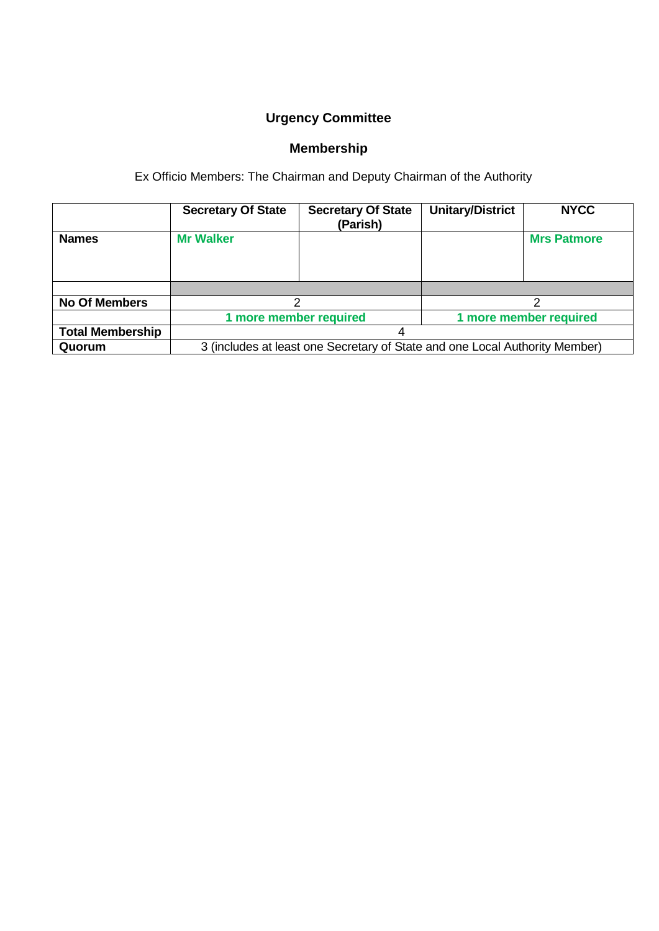# **Urgency Committee**

## **Membership**

|                         | <b>Secretary Of State</b>                        | <b>Secretary Of State</b><br>(Parish)                                       | <b>Unitary/District</b> | <b>NYCC</b>        |  |
|-------------------------|--------------------------------------------------|-----------------------------------------------------------------------------|-------------------------|--------------------|--|
| <b>Names</b>            | <b>Mr Walker</b>                                 |                                                                             |                         | <b>Mrs Patmore</b> |  |
|                         |                                                  |                                                                             |                         |                    |  |
| <b>No Of Members</b>    |                                                  |                                                                             |                         |                    |  |
|                         | 1 more member required<br>1 more member required |                                                                             |                         |                    |  |
| <b>Total Membership</b> |                                                  |                                                                             |                         |                    |  |
| Quorum                  |                                                  | 3 (includes at least one Secretary of State and one Local Authority Member) |                         |                    |  |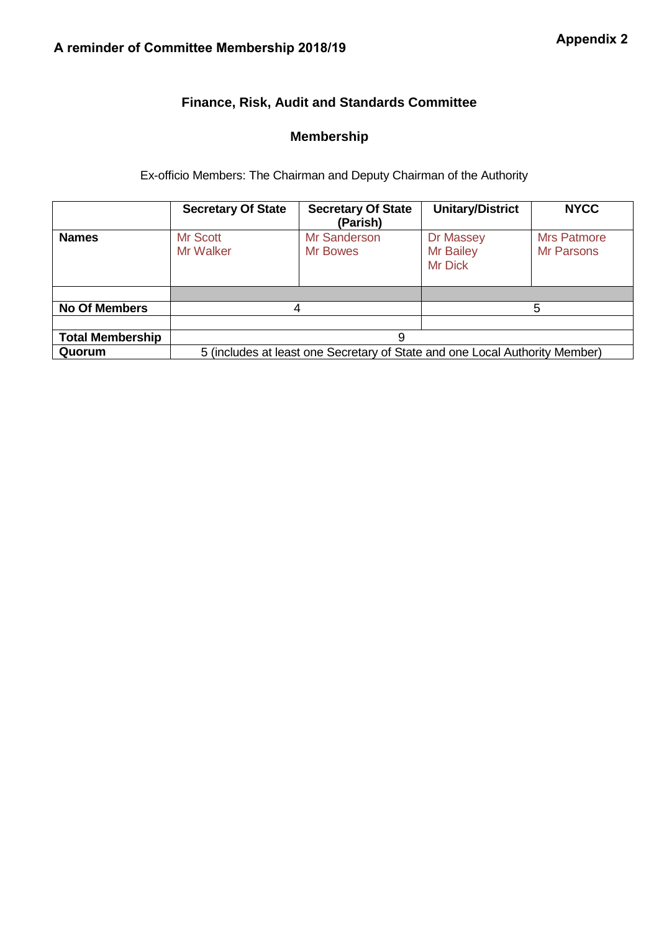### **Finance, Risk, Audit and Standards Committee**

### **Membership**

|                         | <b>Secretary Of State</b>           | <b>Secretary Of State</b><br>(Parish)                                       | <b>Unitary/District</b>                  | <b>NYCC</b>                      |  |
|-------------------------|-------------------------------------|-----------------------------------------------------------------------------|------------------------------------------|----------------------------------|--|
| <b>Names</b>            | <b>Mr Scott</b><br><b>Mr Walker</b> | Mr Sanderson<br>Mr Bowes                                                    | Dr Massey<br><b>Mr Bailey</b><br>Mr Dick | <b>Mrs Patmore</b><br>Mr Parsons |  |
|                         |                                     |                                                                             |                                          |                                  |  |
| <b>No Of Members</b>    | 5<br>4                              |                                                                             |                                          |                                  |  |
|                         |                                     |                                                                             |                                          |                                  |  |
| <b>Total Membership</b> | 9                                   |                                                                             |                                          |                                  |  |
| Quorum                  |                                     | 5 (includes at least one Secretary of State and one Local Authority Member) |                                          |                                  |  |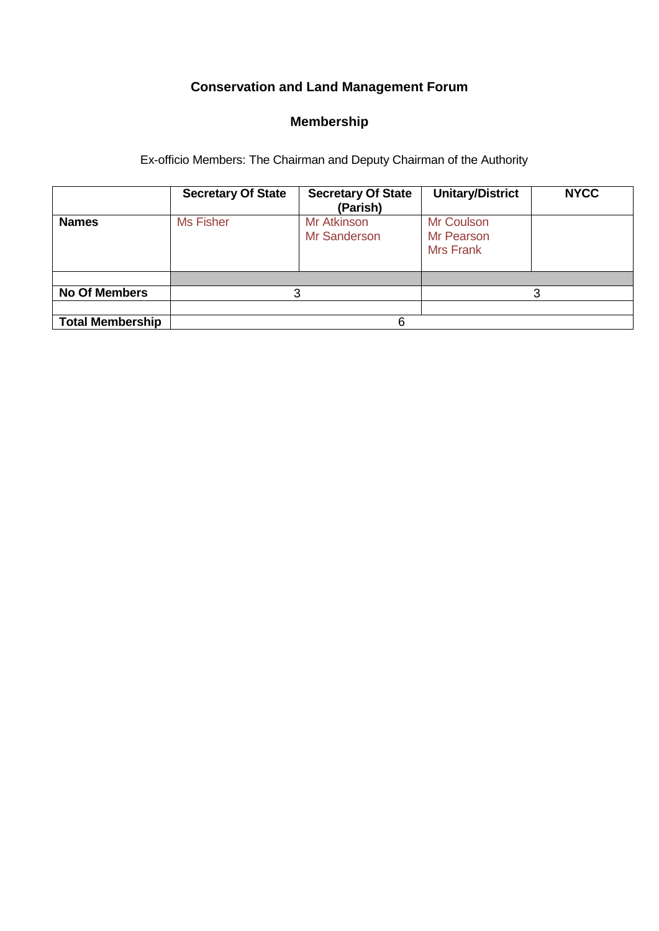# **Conservation and Land Management Forum**

# **Membership**

|                         | <b>Secretary Of State</b> | <b>Secretary Of State</b><br>(Parish) | <b>Unitary/District</b>                                    | <b>NYCC</b> |
|-------------------------|---------------------------|---------------------------------------|------------------------------------------------------------|-------------|
| <b>Names</b>            | <b>Ms Fisher</b>          | <b>Mr Atkinson</b><br>Mr Sanderson    | <b>Mr Coulson</b><br><b>Mr Pearson</b><br><b>Mrs Frank</b> |             |
|                         |                           |                                       |                                                            |             |
| <b>No Of Members</b>    | 3                         |                                       |                                                            |             |
|                         |                           |                                       |                                                            |             |
| <b>Total Membership</b> |                           | 6                                     |                                                            |             |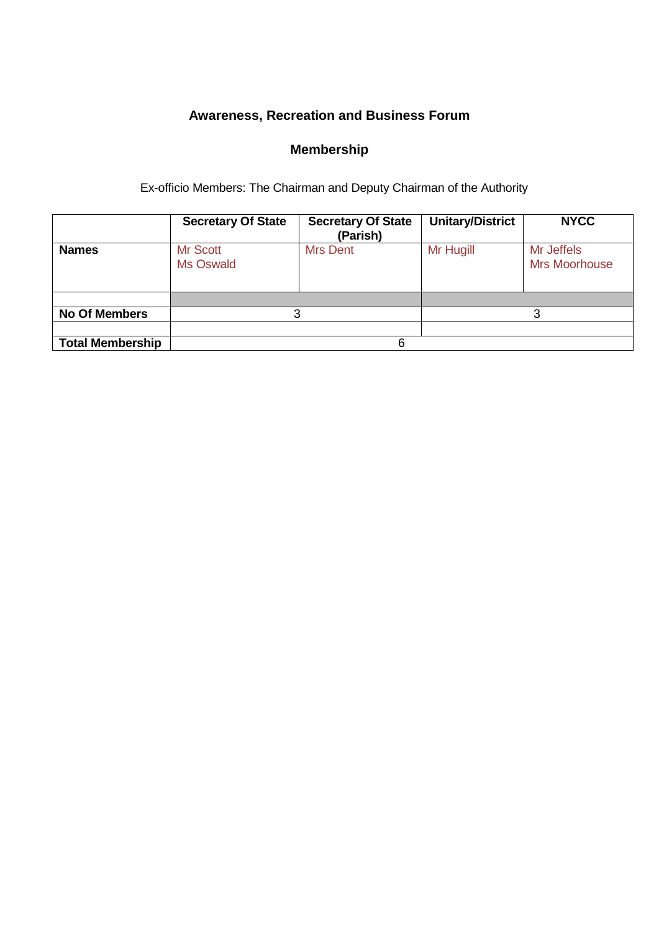### **Awareness, Recreation and Business Forum**

### **Membership**

|                         | <b>Secretary Of State</b>           | <b>Secretary Of State</b><br>(Parish) | <b>Unitary/District</b> | <b>NYCC</b>                        |
|-------------------------|-------------------------------------|---------------------------------------|-------------------------|------------------------------------|
| <b>Names</b>            | <b>Mr Scott</b><br><b>Ms Oswald</b> | Mrs Dent                              | Mr Hugill               | Mr Jeffels<br><b>Mrs Moorhouse</b> |
|                         |                                     |                                       |                         |                                    |
| <b>No Of Members</b>    | ว                                   |                                       |                         |                                    |
|                         |                                     |                                       |                         |                                    |
| <b>Total Membership</b> |                                     |                                       |                         |                                    |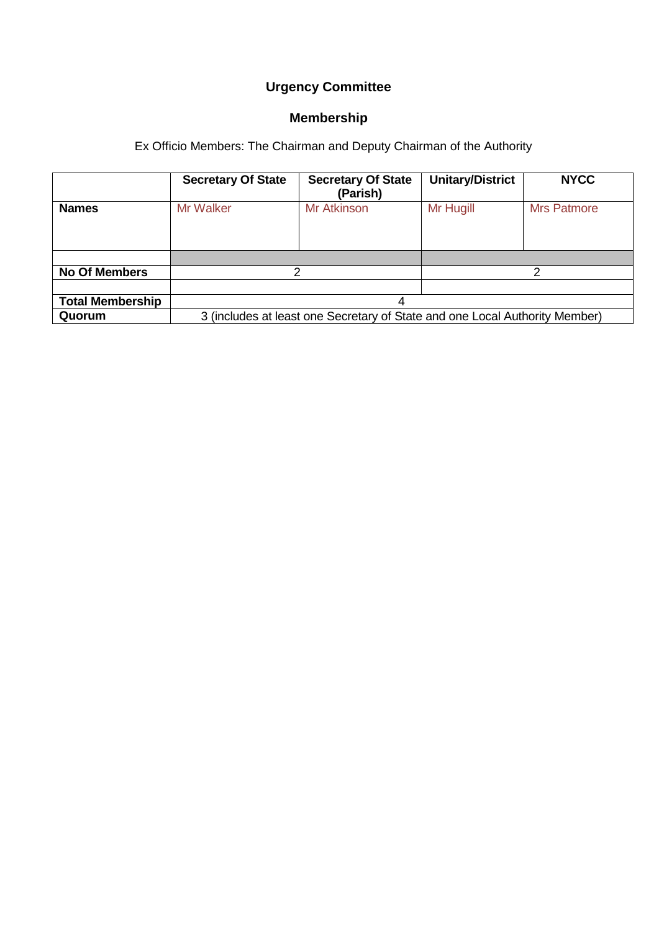# **Urgency Committee**

## **Membership**

|                         | <b>Secretary Of State</b>                                                   | <b>Secretary Of State</b><br>(Parish) | <b>Unitary/District</b> | <b>NYCC</b>        |
|-------------------------|-----------------------------------------------------------------------------|---------------------------------------|-------------------------|--------------------|
| <b>Names</b>            | <b>Mr Walker</b>                                                            | Mr Atkinson                           | Mr Hugill               | <b>Mrs Patmore</b> |
|                         |                                                                             |                                       |                         |                    |
| <b>No Of Members</b>    |                                                                             | າ                                     |                         | 2                  |
|                         |                                                                             |                                       |                         |                    |
| <b>Total Membership</b> | 4                                                                           |                                       |                         |                    |
| Quorum                  | 3 (includes at least one Secretary of State and one Local Authority Member) |                                       |                         |                    |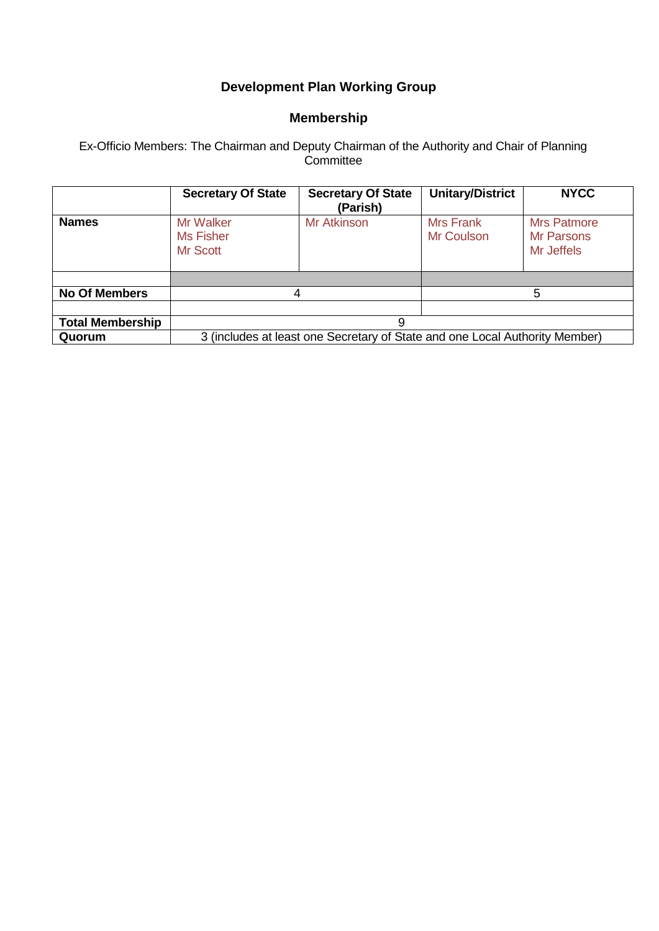# **Development Plan Working Group**

## **Membership**

Ex-Officio Members: The Chairman and Deputy Chairman of the Authority and Chair of Planning **Committee** 

|                         | <b>Secretary Of State</b>                                                   | <b>Secretary Of State</b><br>(Parish) | <b>Unitary/District</b>               | <b>NYCC</b>                                           |  |
|-------------------------|-----------------------------------------------------------------------------|---------------------------------------|---------------------------------------|-------------------------------------------------------|--|
| <b>Names</b>            | Mr Walker<br><b>Ms Fisher</b><br><b>Mr Scott</b>                            | Mr Atkinson                           | <b>Mrs Frank</b><br><b>Mr Coulson</b> | <b>Mrs Patmore</b><br><b>Mr Parsons</b><br>Mr Jeffels |  |
|                         |                                                                             |                                       |                                       |                                                       |  |
| <b>No Of Members</b>    | 5<br>4                                                                      |                                       |                                       |                                                       |  |
|                         |                                                                             |                                       |                                       |                                                       |  |
| <b>Total Membership</b> | 9                                                                           |                                       |                                       |                                                       |  |
| Quorum                  | 3 (includes at least one Secretary of State and one Local Authority Member) |                                       |                                       |                                                       |  |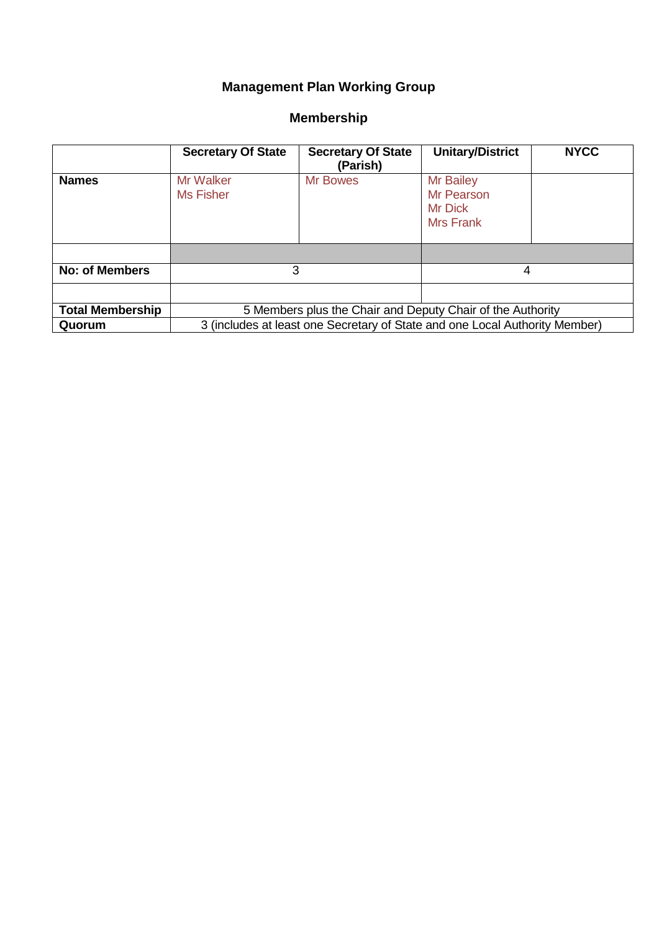# **Management Plan Working Group**

|                         | <b>Secretary Of State</b>                                                   | <b>Secretary Of State</b><br>(Parish) | <b>Unitary/District</b>                                       | <b>NYCC</b> |
|-------------------------|-----------------------------------------------------------------------------|---------------------------------------|---------------------------------------------------------------|-------------|
| <b>Names</b>            | Mr Walker<br><b>Ms Fisher</b>                                               | <b>Mr Bowes</b>                       | <b>Mr Bailey</b><br>Mr Pearson<br>Mr Dick<br><b>Mrs Frank</b> |             |
|                         |                                                                             |                                       |                                                               |             |
| <b>No: of Members</b>   | 3                                                                           |                                       | 4                                                             |             |
|                         |                                                                             |                                       |                                                               |             |
| <b>Total Membership</b> | 5 Members plus the Chair and Deputy Chair of the Authority                  |                                       |                                                               |             |
| Quorum                  | 3 (includes at least one Secretary of State and one Local Authority Member) |                                       |                                                               |             |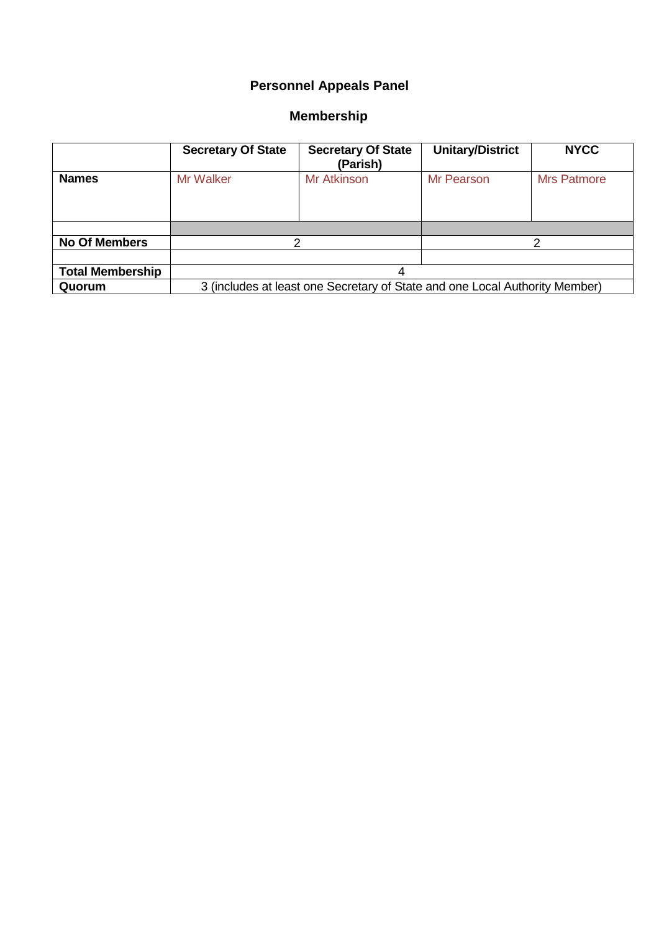# **Personnel Appeals Panel**

|                         | <b>Secretary Of State</b>                                                   | <b>Secretary Of State</b><br>(Parish) | <b>Unitary/District</b> | <b>NYCC</b>        |
|-------------------------|-----------------------------------------------------------------------------|---------------------------------------|-------------------------|--------------------|
| <b>Names</b>            | <b>Mr Walker</b>                                                            | Mr Atkinson                           | <b>Mr Pearson</b>       | <b>Mrs Patmore</b> |
|                         |                                                                             |                                       |                         |                    |
| <b>No Of Members</b>    | າ<br>っ                                                                      |                                       |                         |                    |
|                         |                                                                             |                                       |                         |                    |
| <b>Total Membership</b> | 4                                                                           |                                       |                         |                    |
| Quorum                  | 3 (includes at least one Secretary of State and one Local Authority Member) |                                       |                         |                    |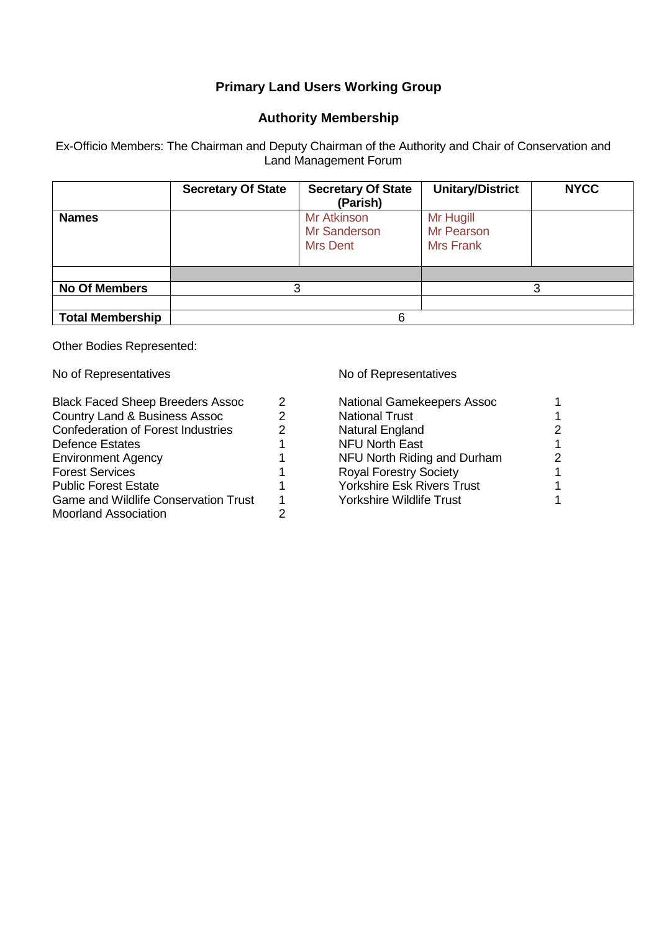## **Primary Land Users Working Group**

### **Authority Membership**

Ex-Officio Members: The Chairman and Deputy Chairman of the Authority and Chair of Conservation and Land Management Forum

|                         | <b>Secretary Of State</b> | <b>Secretary Of State</b><br>(Parish)                        | <b>Unitary/District</b>                            | <b>NYCC</b> |
|-------------------------|---------------------------|--------------------------------------------------------------|----------------------------------------------------|-------------|
| <b>Names</b>            |                           | <b>Mr Atkinson</b><br><b>Mr Sanderson</b><br><b>Mrs Dent</b> | Mr Hugill<br><b>Mr Pearson</b><br><b>Mrs Frank</b> |             |
|                         |                           |                                                              |                                                    |             |
| <b>No Of Members</b>    | З                         |                                                              |                                                    |             |
|                         |                           |                                                              |                                                    |             |
| <b>Total Membership</b> |                           | 6                                                            |                                                    |             |

Other Bodies Represented:

| <b>Black Faced Sheep Breeders Assoc</b>     |   | National Gamekeepers Assoc        |   |
|---------------------------------------------|---|-----------------------------------|---|
| <b>Country Land &amp; Business Assoc</b>    |   | <b>National Trust</b>             |   |
| <b>Confederation of Forest Industries</b>   | 2 | Natural England                   | 2 |
| <b>Defence Estates</b>                      |   | <b>NFU North East</b>             |   |
| <b>Environment Agency</b>                   |   | NFU North Riding and Durham       | 2 |
| <b>Forest Services</b>                      |   | <b>Royal Forestry Society</b>     |   |
| <b>Public Forest Estate</b>                 |   | <b>Yorkshire Esk Rivers Trust</b> |   |
| <b>Game and Wildlife Conservation Trust</b> |   | <b>Yorkshire Wildlife Trust</b>   |   |
| <b>Moorland Association</b>                 |   |                                   |   |

No of Representatives No of Representatives

| 1 |
|---|
| 2 |
| 1 |
| 2 |
| 1 |
| 1 |
| 1 |
|   |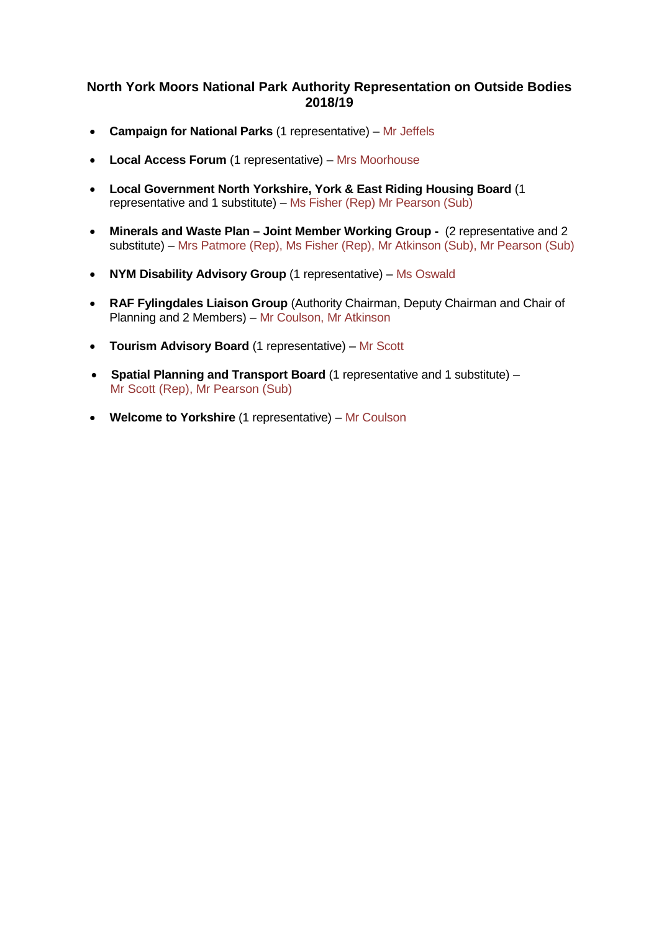#### **North York Moors National Park Authority Representation on Outside Bodies 2018/19**

- **Campaign for National Parks** (1 representative) Mr Jeffels
- **Local Access Forum** (1 representative) Mrs Moorhouse
- **Local Government North Yorkshire, York & East Riding Housing Board** (1 representative and 1 substitute) – Ms Fisher (Rep) Mr Pearson (Sub)
- **Minerals and Waste Plan – Joint Member Working Group -** (2 representative and 2 substitute) – Mrs Patmore (Rep), Ms Fisher (Rep), Mr Atkinson (Sub), Mr Pearson (Sub)
- **NYM Disability Advisory Group** (1 representative) Ms Oswald
- **RAF Fylingdales Liaison Group** (Authority Chairman, Deputy Chairman and Chair of Planning and 2 Members) – Mr Coulson, Mr Atkinson
- **Tourism Advisory Board** (1 representative) Mr Scott
- **Spatial Planning and Transport Board** (1 representative and 1 substitute) Mr Scott (Rep), Mr Pearson (Sub)
- **Welcome to Yorkshire** (1 representative) Mr Coulson